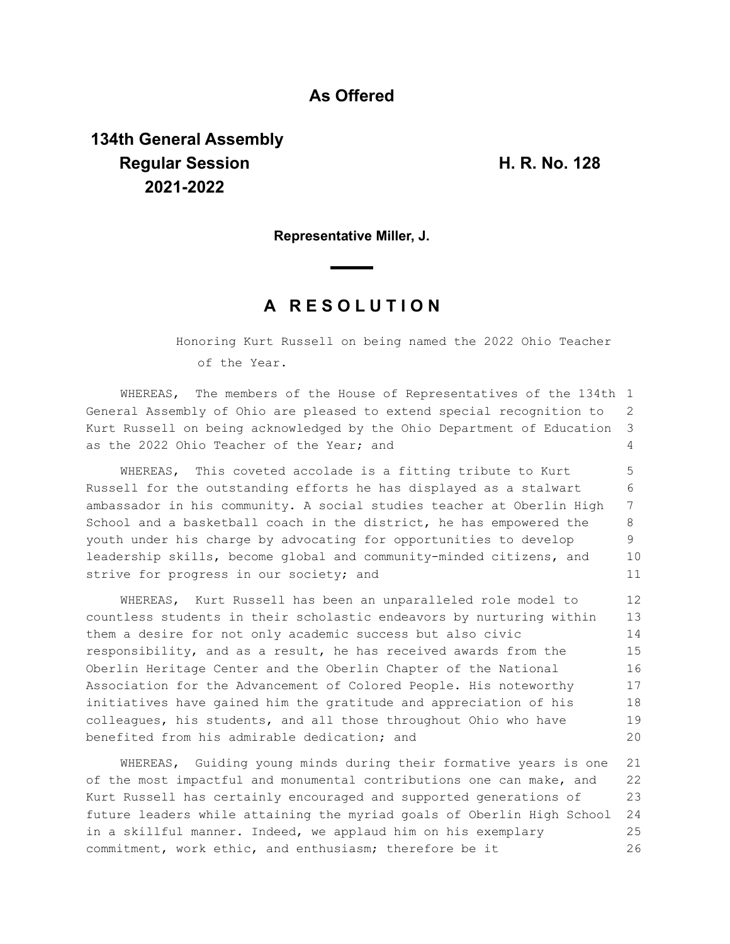## **As Offered**

## **134th General Assembly Regular Session H. R. No. 128 2021-2022**

**Representative Miller, J.**

## **A R E S O L U T I O N**

Honoring Kurt Russell on being named the 2022 Ohio Teacher of the Year.

WHEREAS, The members of the House of Representatives of the 134th 1 General Assembly of Ohio are pleased to extend special recognition to Kurt Russell on being acknowledged by the Ohio Department of Education as the 2022 Ohio Teacher of the Year; and 2 3  $\Delta$ 

WHEREAS, This coveted accolade is a fitting tribute to Kurt Russell for the outstanding efforts he has displayed as a stalwart ambassador in his community. A social studies teacher at Oberlin High School and a basketball coach in the district, he has empowered the youth under his charge by advocating for opportunities to develop leadership skills, become global and community-minded citizens, and strive for progress in our society; and 5 6 7 8 9 10 11

WHEREAS, Kurt Russell has been an unparalleled role model to countless students in their scholastic endeavors by nurturing within them a desire for not only academic success but also civic responsibility, and as a result, he has received awards from the Oberlin Heritage Center and the Oberlin Chapter of the National Association for the Advancement of Colored People. His noteworthy initiatives have gained him the gratitude and appreciation of his colleagues, his students, and all those throughout Ohio who have benefited from his admirable dedication; and 12 13 14 15 16 17 18 19 20

WHEREAS, Guiding young minds during their formative years is one of the most impactful and monumental contributions one can make, and Kurt Russell has certainly encouraged and supported generations of future leaders while attaining the myriad goals of Oberlin High School in a skillful manner. Indeed, we applaud him on his exemplary commitment, work ethic, and enthusiasm; therefore be it 21 22 23 24 25 26